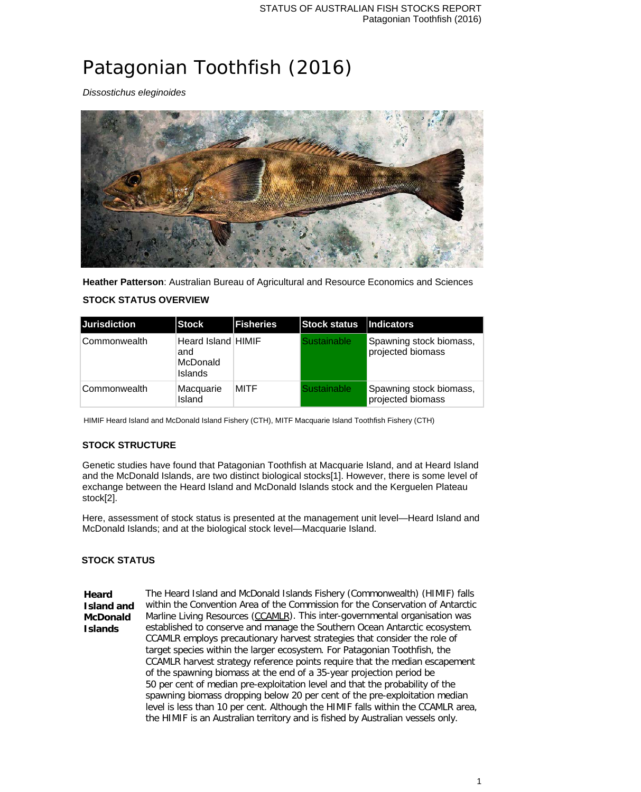# Patagonian Toothfish (2016)

*Dissostichus eleginoides*



**Heather Patterson**: Australian Bureau of Agricultural and Resource Economics and Sciences

### **STOCK STATUS OVERVIEW**

| <b>Jurisdiction</b> | Stock                                                   | <b>Fisheries</b> | Stock status   Indicators |                                              |
|---------------------|---------------------------------------------------------|------------------|---------------------------|----------------------------------------------|
| Commonwealth        | Heard Island HIMIF<br>and<br>McDonald<br><b>Islands</b> |                  | Sustainable               | Spawning stock biomass,<br>projected biomass |
| Commonwealth        | Macquarie<br>Island                                     | <b>MITF</b>      | Sustainable               | Spawning stock biomass,<br>projected biomass |

HIMIF Heard Island and McDonald Island Fishery (CTH), MITF Macquarie Island Toothfish Fishery (CTH)

## **STOCK STRUCTURE**

Genetic studies have found that Patagonian Toothfish at Macquarie Island, and at Heard Island and the McDonald Islands, are two distinct biological stocks[1]. However, there is some level of exchange between the Heard Island and McDonald Islands stock and the Kerguelen Plateau stock[2].

Here, assessment of stock status is presented at the management unit level—Heard Island and McDonald Islands; and at the biological stock level—Macquarie Island.

#### **STOCK STATUS**

**Heard Island and McDonald Islands** The Heard Island and McDonald Islands Fishery (Commonwealth) (HIMIF) falls within the Convention Area of the Commission for the Conservation of Antarctic Marline Living Resources (CCAMLR). This inter-governmental organisation was established to conserve and manage the Southern Ocean Antarctic ecosystem. CCAMLR employs precautionary harvest strategies that consider the role of target species within the larger ecosystem. For Patagonian Toothfish, the CCAMLR harvest strategy reference points require that the median escapement of the spawning biomass at the end of a 35-year projection period be 50 per cent of median pre-exploitation level and that the probability of the spawning biomass dropping below 20 per cent of the pre-exploitation median level is less than 10 per cent. Although the HIMIF falls within the CCAMLR area, the HIMIF is an Australian territory and is fished by Australian vessels only.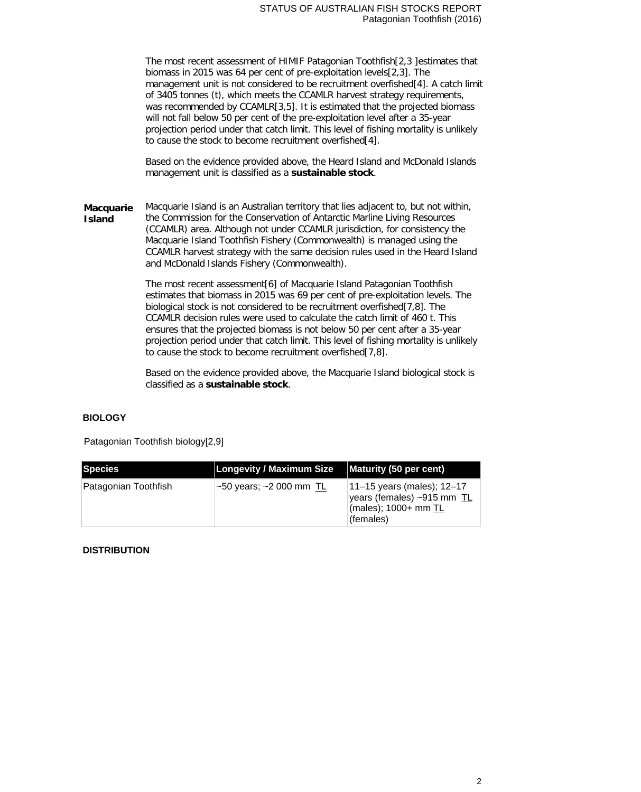The most recent assessment of HIMIF Patagonian Toothfish[2,3 ]estimates that biomass in 2015 was 64 per cent of pre-exploitation levels[2,3]. The management unit is not considered to be recruitment overfished[4]. A catch limit of 3405 tonnes (t), which meets the CCAMLR harvest strategy requirements, was recommended by CCAMLR[3,5]. It is estimated that the projected biomass will not fall below 50 per cent of the pre-exploitation level after a 35-year projection period under that catch limit. This level of fishing mortality is unlikely to cause the stock to become recruitment overfished[4].

Based on the evidence provided above, the Heard Island and McDonald Islands management unit is classified as a **sustainable stock**.

**Macquarie Island** Macquarie Island is an Australian territory that lies adjacent to, but not within, the Commission for the Conservation of Antarctic Marline Living Resources (CCAMLR) area. Although not under CCAMLR jurisdiction, for consistency the Macquarie Island Toothfish Fishery (Commonwealth) is managed using the CCAMLR harvest strategy with the same decision rules used in the Heard Island and McDonald Islands Fishery (Commonwealth).

> The most recent assessment[6] of Macquarie Island Patagonian Toothfish estimates that biomass in 2015 was 69 per cent of pre-exploitation levels. The biological stock is not considered to be recruitment overfished[7,8]. The CCAMLR decision rules were used to calculate the catch limit of 460 t. This ensures that the projected biomass is not below 50 per cent after a 35-year projection period under that catch limit. This level of fishing mortality is unlikely to cause the stock to become recruitment overfished[7,8].

> Based on the evidence provided above, the Macquarie Island biological stock is classified as a **sustainable stock**.

#### **BIOLOGY**

Patagonian Toothfish biology[2,9]

| Species              | <b>Longevity / Maximum Size</b>    | Maturity (50 per cent)                                                                        |
|----------------------|------------------------------------|-----------------------------------------------------------------------------------------------|
| Patagonian Toothfish | $\sim$ 50 years; $\sim$ 2000 mm TL | 11–15 years (males); 12–17<br>years (females) ~915 mm TL<br>(males); 1000+ mm TL<br>(females) |

#### **DISTRIBUTION**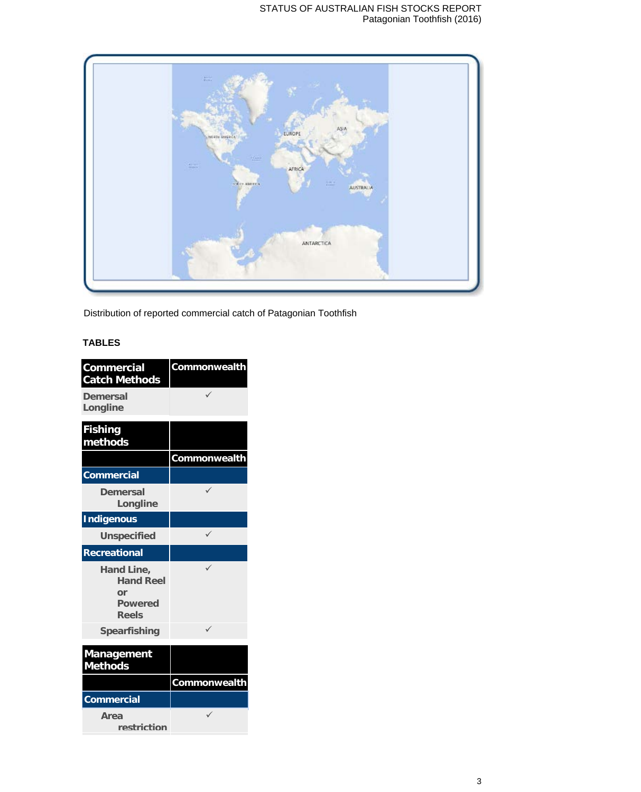

Distribution of reported commercial catch of Patagonian Toothfish

# **TABLES**

| <b>Commercial</b><br><b>Catch Methods</b>                              | Commonwealth |
|------------------------------------------------------------------------|--------------|
| Demersal<br>Longline                                                   |              |
| <b>Fishing</b><br>methods                                              |              |
|                                                                        | Commonwealth |
| <b>Commercial</b>                                                      |              |
| Demersal<br>Longline                                                   |              |
| <b>Indigenous</b>                                                      |              |
| <b>Unspecified</b>                                                     |              |
| <b>Recreational</b>                                                    |              |
| Hand Line,<br><b>Hand Reel</b><br>or<br><b>Powered</b><br><b>Reels</b> |              |
| <b>Spearfishing</b>                                                    | ✓            |
| <b>Management</b><br><b>Methods</b>                                    |              |
|                                                                        | Commonwealth |
| <b>Commercial</b>                                                      |              |
| Area<br>restriction                                                    |              |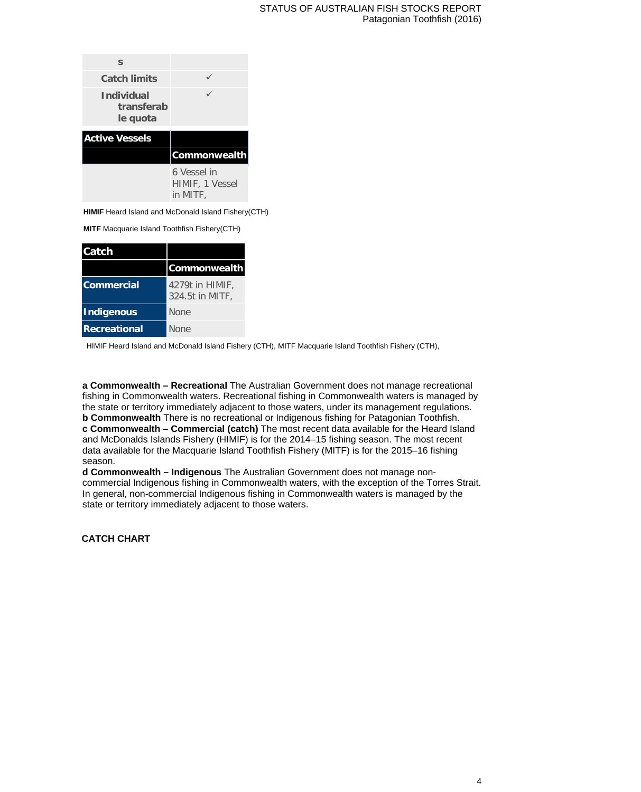| S                                           |                                |
|---------------------------------------------|--------------------------------|
| <b>Catch limits</b>                         |                                |
| <b>Individual</b><br>transferab<br>le quota |                                |
| <b>Active Vessels</b>                       |                                |
|                                             | <b>Commonwealth</b>            |
|                                             | 6 Vessel in<br>HIMIF, 1 Vessel |

**HIMIF** Heard Island and McDonald Island Fishery(CTH)

**MITF** Macquarie Island Toothfish Fishery(CTH)

| Catch               |                                    |
|---------------------|------------------------------------|
|                     | <b>Commonwealth</b>                |
| Commercial          | 4279t in HIMIF,<br>324.5t in MITF, |
| <b>Indigenous</b>   | <b>None</b>                        |
| <b>Recreational</b> | <b>None</b>                        |

HIMIF Heard Island and McDonald Island Fishery (CTH), MITF Macquarie Island Toothfish Fishery (CTH),

**a Commonwealth – Recreational** The Australian Government does not manage recreational fishing in Commonwealth waters. Recreational fishing in Commonwealth waters is managed by the state or territory immediately adjacent to those waters, under its management regulations. **b Commonwealth** There is no recreational or Indigenous fishing for Patagonian Toothfish. **c Commonwealth – Commercial (catch)** The most recent data available for the Heard Island and McDonalds Islands Fishery (HIMIF) is for the 2014–15 fishing season. The most recent data available for the Macquarie Island Toothfish Fishery (MITF) is for the 2015–16 fishing season.

**d Commonwealth – Indigenous** The Australian Government does not manage noncommercial Indigenous fishing in Commonwealth waters, with the exception of the Torres Strait. In general, non-commercial Indigenous fishing in Commonwealth waters is managed by the state or territory immediately adjacent to those waters.

**CATCH CHART**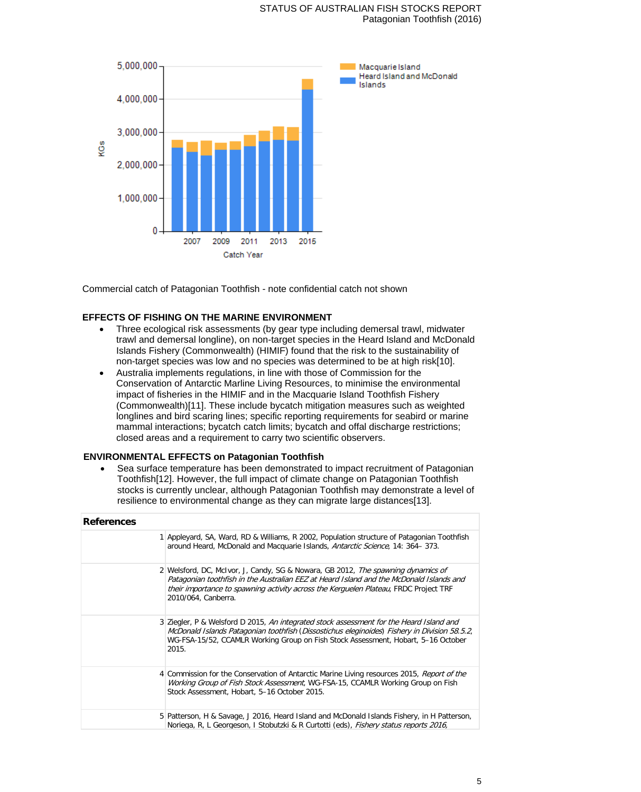

Commercial catch of Patagonian Toothfish - note confidential catch not shown

#### **EFFECTS OF FISHING ON THE MARINE ENVIRONMENT**

- Three ecological risk assessments (by gear type including demersal trawl, midwater trawl and demersal longline), on non-target species in the Heard Island and McDonald Islands Fishery (Commonwealth) (HIMIF) found that the risk to the sustainability of non-target species was low and no species was determined to be at high risk[10].
- Australia implements regulations, in line with those of Commission for the Conservation of Antarctic Marline Living Resources, to minimise the environmental impact of fisheries in the HIMIF and in the Macquarie Island Toothfish Fishery (Commonwealth)[11]. These include bycatch mitigation measures such as weighted longlines and bird scaring lines; specific reporting requirements for seabird or marine mammal interactions; bycatch catch limits; bycatch and offal discharge restrictions; closed areas and a requirement to carry two scientific observers.

#### **ENVIRONMENTAL EFFECTS on Patagonian Toothfish**

• Sea surface temperature has been demonstrated to impact recruitment of Patagonian Toothfish[12]. However, the full impact of climate change on Patagonian Toothfish stocks is currently unclear, although Patagonian Toothfish may demonstrate a level of resilience to environmental change as they can migrate large distances[13].

| <b>References</b> |                                                                                                                                                                                                                                                                                            |
|-------------------|--------------------------------------------------------------------------------------------------------------------------------------------------------------------------------------------------------------------------------------------------------------------------------------------|
|                   | 1 Appleyard, SA, Ward, RD & Williams, R 2002, Population structure of Patagonian Toothfish<br>around Heard, McDonald and Macquarie Islands, Antarctic Science, 14: 364–373.                                                                                                                |
|                   | 2 Welsford, DC, McIvor, J, Candy, SG & Nowara, GB 2012, The spawning dynamics of<br>Patagonian toothfish in the Australian EEZ at Heard Island and the McDonald Islands and<br>their importance to spawning activity across the Kerguelen Plateau, FRDC Project TRF<br>2010/064, Canberra. |
|                   | 3 Ziegler, P & Welsford D 2015, An integrated stock assessment for the Heard Island and<br>McDonald Islands Patagonian toothfish (Dissostichus eleginoides) Fishery in Division 58.5.2,<br>WG-FSA-15/52, CCAMLR Working Group on Fish Stock Assessment, Hobart, 5–16 October<br>2015.      |
|                   | 4 Commission for the Conservation of Antarctic Marine Living resources 2015, Report of the<br>Working Group of Fish Stock Assessment, WG-FSA-15, CCAMLR Working Group on Fish<br>Stock Assessment, Hobart, 5-16 October 2015.                                                              |
|                   | 5 Patterson, H & Savage, J 2016, Heard Island and McDonald Islands Fishery, in H Patterson,<br>Noriega, R, L Georgeson, I Stobutzki & R Curtotti (eds), <i>Fishery status reports 2016</i> ,                                                                                               |